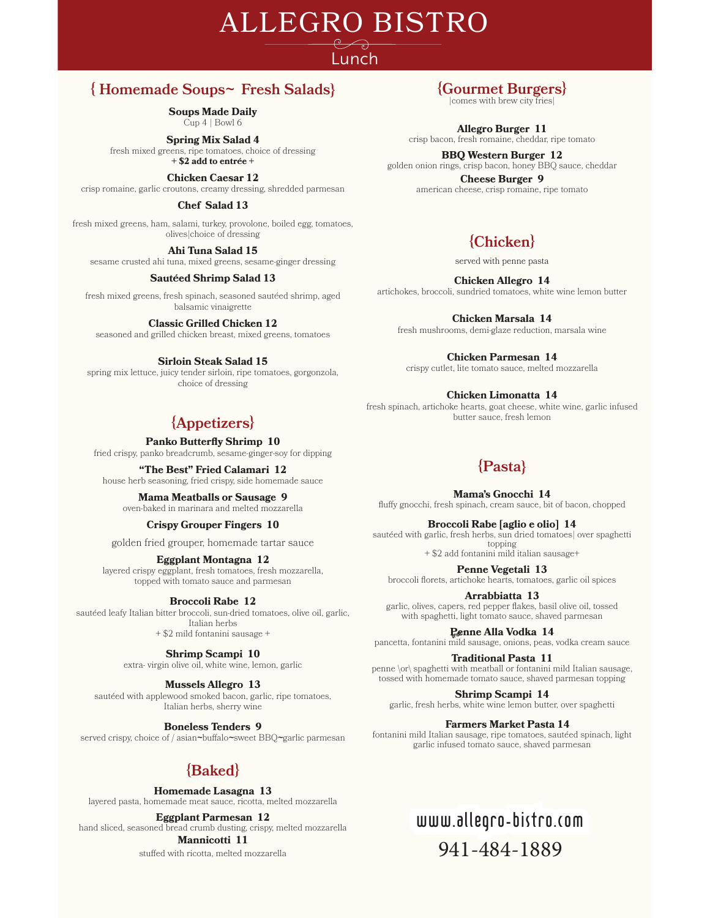# ALLEGRO BISTRO

# Lunch

# **{ Homemade Soups***~* **Fresh Salads}**

**Soups Made Daily** Cup 4 | Bowl 6

**Spring Mix Salad 4** fresh mixed greens, ripe tomatoes, choice of dressing **+ \$2 add to entrÉe +**

**Chicken Caesar 12**

crisp romaine, garlic croutons, creamy dressing, shredded parmesan

#### **Chef Salad 13**

fresh mixed greens, ham, salami, turkey, provolone, boiled egg, tomatoes, olives|choice of dressing

**Ahi Tuna Salad 15** sesame crusted ahi tuna, mixed greens, sesame-ginger dressing

### **SautÉed Shrimp Salad 13**

fresh mixed greens, fresh spinach, seasoned sautéed shrimp, aged balsamic vinaigrette

### **Classic Grilled Chicken 12**

seasoned and grilled chicken breast, mixed greens, tomatoes

### **Sirloin Steak Salad 15**

spring mix lettuce, juicy tender sirloin, ripe tomatoes, gorgonzola, choice of dressing

# **{Appetizers}**

**Panko Butterfly Shrimp 10** 

fried crispy, panko breadcrumb, sesame-ginger-soy for dipping

**"The Best" Fried Calamari 12**  house herb seasoning, fried crispy, side homemade sauce

**Mama Meatballs or Sausage 9**  oven-baked in marinara and melted mozzarella

### **Crispy Grouper Fingers 10**

golden fried grouper, homemade tartar sauce

### **Eggplant Montagna 12**

layered crispy eggplant, fresh tomatoes, fresh mozzarella, topped with tomato sauce and parmesan

### **Broccoli Rabe 12**

sautéed leafy Italian bitter broccoli, sun-dried tomatoes, olive oil, garlic, Italian herbs + \$2 mild fontanini sausage +

**Shrimp Scampi 10** 

extra- virgin olive oil, white wine, lemon, garlic

### **Mussels Allegro 13**

sautéed with applewood smoked bacon, garlic, ripe tomatoes, Italian herbs, sherry wine

**Boneless Tenders 9**

served crispy, choice of / asian~buffalo~sweet BBQ~garlic parmesan

# **{Baked}**

**Homemade Lasagna 13**

layered pasta, homemade meat sauce, ricotta, melted mozzarella

**Eggplant Parmesan 12** hand sliced, seasoned bread crumb dusting, crispy, melted mozzarella

### **Mannicotti 11**

stuffed with ricotta, melted mozzarella

# **{Gourmet Burgers}**

|comes with brew city fries|

**Allegro Burger 11**

# crisp bacon, fresh romaine, cheddar, ripe tomato

**BBQ Western Burger 12** golden onion rings, crisp bacon, honey BBQ sauce, cheddar

> **Cheese Burger 9** american cheese, crisp romaine, ripe tomato

# **{Chicken}**

served with penne pasta

**Chicken Allegro 14**

artichokes, broccoli, sundried tomatoes, white wine lemon butter

**Chicken Marsala 14**

fresh mushrooms, demi-glaze reduction, marsala wine

**Chicken Parmesan 14**

crispy cutlet, lite tomato sauce, melted mozzarella

### **Chicken Limonatta 14**

fresh spinach, artichoke hearts, goat cheese, white wine, garlic infused butter sauce, fresh lemon

# **{Pasta}**

**Mama's Gnocchi 14** fluffy gnocchi, fresh spinach, cream sauce, bit of bacon, chopped

**Broccoli Rabe [aglio e olio] 14**

sautéed with garlic, fresh herbs, sun dried tomatoes| over spaghetti topping + \$2 add fontanini mild italian sausage+

**Penne Vegetali 13**  broccoli florets, artichoke hearts, tomatoes, garlic oil spices

**Arrabbiatta 13** garlic, olives, capers, red pepper flakes, basil olive oil, tossed with spaghetti, light tomato sauce, shaved parmesan

<u>Renne Alla Vodka 14</u>

pancetta, fontanini mild sausage, onions, peas, vodka cream sauce

**Traditional Pasta 11** penne \or\ spaghetti with meatball or fontanini mild Italian sausage, tossed with homemade tomato sauce, shaved parmesan topping

**Shrimp Scampi 14** garlic, fresh herbs, white wine lemon butter, over spaghetti

### **Farmers Market Pasta 14**

fontanini mild Italian sausage, ripe tomatoes, sautéed spinach, light garlic infused tomato sauce, shaved parmesan

# www.allegro-bistro.com ww.allegro-bistro.com 941-484-1889